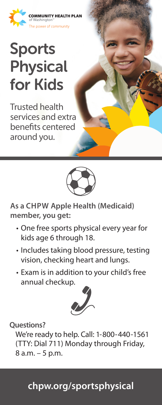

## Sports Physical for Kids

Trusted health services and extra benefits centered around you.



**As a CHPW Apple Health (Medicaid) member, you get:**

- One free sports physical every year for kids age 6 through 18.
- Includes taking blood pressure, testing vision, checking heart and lungs.
- Exam is in addition to your child's free annual checkup.



**Questions?**

We're ready to help. Call: 1-800-440-1561 (TTY: Dial 711) Monday through Friday, 8 a.m. – 5 p.m.